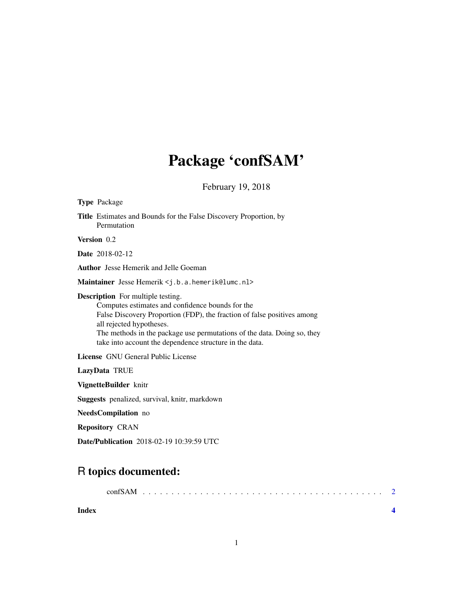## Package 'confSAM'

February 19, 2018

| <b>Type Package</b>                                                                                                                                                                                                                                                                                                                       |
|-------------------------------------------------------------------------------------------------------------------------------------------------------------------------------------------------------------------------------------------------------------------------------------------------------------------------------------------|
| <b>Title</b> Estimates and Bounds for the False Discovery Proportion, by<br>Permutation                                                                                                                                                                                                                                                   |
| Version 0.2                                                                                                                                                                                                                                                                                                                               |
| <b>Date</b> 2018-02-12                                                                                                                                                                                                                                                                                                                    |
| <b>Author</b> Jesse Hemerik and Jelle Goeman                                                                                                                                                                                                                                                                                              |
| Maintainer Jesse Hemerik <j.b.a.hemerik@lumc.nl></j.b.a.hemerik@lumc.nl>                                                                                                                                                                                                                                                                  |
| <b>Description</b> For multiple testing.<br>Computes estimates and confidence bounds for the<br>False Discovery Proportion (FDP), the fraction of false positives among<br>all rejected hypotheses.<br>The methods in the package use permutations of the data. Doing so, they<br>take into account the dependence structure in the data. |
| <b>License</b> GNU General Public License                                                                                                                                                                                                                                                                                                 |
| LazyData TRUE                                                                                                                                                                                                                                                                                                                             |
| VignetteBuilder knitr                                                                                                                                                                                                                                                                                                                     |
| <b>Suggests</b> penalized, survival, knitr, markdown                                                                                                                                                                                                                                                                                      |
| NeedsCompilation no                                                                                                                                                                                                                                                                                                                       |
| <b>Repository CRAN</b>                                                                                                                                                                                                                                                                                                                    |
| Date/Publication 2018-02-19 10:39:59 UTC                                                                                                                                                                                                                                                                                                  |

### R topics documented:

|       | $\text{confSAM}$ |  |  |  |  |  |  |  |  |  |  |  |  |  |  |  |  |
|-------|------------------|--|--|--|--|--|--|--|--|--|--|--|--|--|--|--|--|
| Index |                  |  |  |  |  |  |  |  |  |  |  |  |  |  |  |  |  |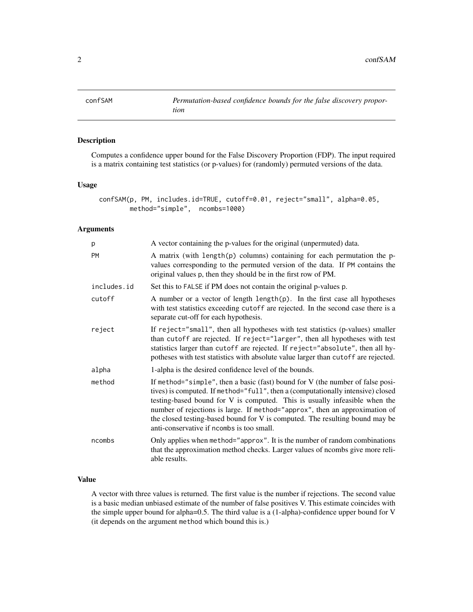<span id="page-1-0"></span>

#### Description

Computes a confidence upper bound for the False Discovery Proportion (FDP). The input required is a matrix containing test statistics (or p-values) for (randomly) permuted versions of the data.

#### Usage

```
confSAM(p, PM, includes.id=TRUE, cutoff=0.01, reject="small", alpha=0.05,
       method="simple", ncombs=1000)
```
#### Arguments

| p           | A vector containing the p-values for the original (unpermuted) data.                                                                                                                                                                                                                                                                                                                                                                                        |
|-------------|-------------------------------------------------------------------------------------------------------------------------------------------------------------------------------------------------------------------------------------------------------------------------------------------------------------------------------------------------------------------------------------------------------------------------------------------------------------|
| <b>PM</b>   | A matrix (with length(p) columns) containing for each permutation the p-<br>values corresponding to the permuted version of the data. If PM contains the<br>original values p, then they should be in the first row of PM.                                                                                                                                                                                                                                  |
| includes.id | Set this to FALSE if PM does not contain the original p-values p.                                                                                                                                                                                                                                                                                                                                                                                           |
| cutoff      | A number or a vector of length $\text{length}(p)$ . In the first case all hypotheses<br>with test statistics exceeding cutoff are rejected. In the second case there is a<br>separate cut-off for each hypothesis.                                                                                                                                                                                                                                          |
| reject      | If reject="small", then all hypotheses with test statistics (p-values) smaller<br>than cutoff are rejected. If reject="larger", then all hypotheses with test<br>statistics larger than cutoff are rejected. If reject="absolute", then all hy-<br>potheses with test statistics with absolute value larger than cutoff are rejected.                                                                                                                       |
| alpha       | 1-alpha is the desired confidence level of the bounds.                                                                                                                                                                                                                                                                                                                                                                                                      |
| method      | If method="simple", then a basic (fast) bound for V (the number of false posi-<br>tives) is computed. If method="full", then a (computationally intensive) closed<br>testing-based bound for V is computed. This is usually infeasible when the<br>number of rejections is large. If method="approx", then an approximation of<br>the closed testing-based bound for V is computed. The resulting bound may be<br>anti-conservative if ncombs is too small. |
| ncombs      | Only applies when method="approx". It is the number of random combinations<br>that the approximation method checks. Larger values of ncombs give more reli-<br>able results.                                                                                                                                                                                                                                                                                |

#### Value

A vector with three values is returned. The first value is the number if rejections. The second value is a basic median unbiased estimate of the number of false positives V. This estimate coincides with the simple upper bound for alpha=0.5. The third value is a (1-alpha)-confidence upper bound for V (it depends on the argument method which bound this is.)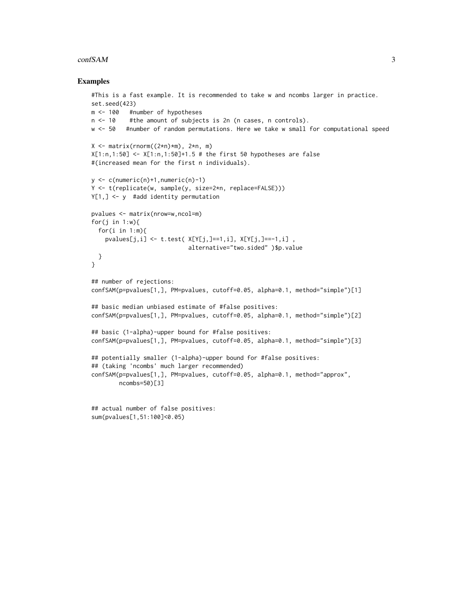#### confSAM 3

#### Examples

```
#This is a fast example. It is recommended to take w and ncombs larger in practice.
set.seed(423)
m <- 100 #number of hypotheses
n <- 10 #the amount of subjects is 2n (n cases, n controls).
w <- 50 #number of random permutations. Here we take w small for computational speed
X \leq - matrix(rnorm((2*n)*m), 2*n, m)
X[1:n,1:50] <- X[1:n,1:50]+1.5 # the first 50 hypotheses are false
#(increased mean for the first n individuals).
y \leftarrow c(numeric(n)+1, numeric(n)-1)Y <- t(replicate(w, sample(y, size=2*n, replace=FALSE)))
Y[1,] <- y #add identity permutation
pvalues <- matrix(nrow=w,ncol=m)
for(j in 1: w){
  for(i in 1:m){
    pvalues[j,i] <- t.test( X[Y[j,]=1,i], X[Y[j,]=-1,i],
                            alternative="two.sided" )$p.value
  }
}
## number of rejections:
confSAM(p=pvalues[1,], PM=pvalues, cutoff=0.05, alpha=0.1, method="simple")[1]
## basic median unbiased estimate of #false positives:
confSAM(p=pvalues[1,], PM=pvalues, cutoff=0.05, alpha=0.1, method="simple")[2]
## basic (1-alpha)-upper bound for #false positives:
confSAM(p=pvalues[1,], PM=pvalues, cutoff=0.05, alpha=0.1, method="simple")[3]
## potentially smaller (1-alpha)-upper bound for #false positives:
## (taking 'ncombs' much larger recommended)
confSAM(p=pvalues[1,], PM=pvalues, cutoff=0.05, alpha=0.1, method="approx",
        ncombs=50)[3]
```

```
## actual number of false positives:
sum(pvalues[1,51:100]<0.05)
```